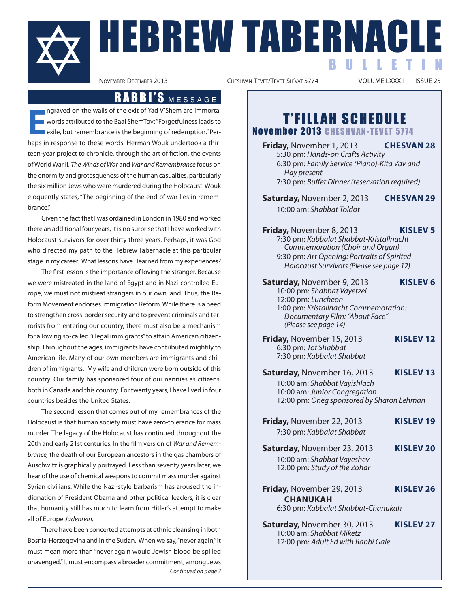

NACLE<br>NOVEMBER-DECEMBER 2013<br>NOVEMBER-DECEMBER 2013

CHESHVAN-TEVET/TEVET-SH'VAT 5774

B U L L E T I N

### RABBI'S MESSAGE

**E** haps in response to the walls of the exit of Yad V'Shem are immortal<br>
words attributed to the Baal ShemTov: "Forgetfulness leads to<br>
exile, but remembrance is the beginning of redemption." Per-<br>
haps in response to the ngraved on the walls of the exit of Yad V'Shem are immortal words attributed to the Baal ShemTov: "Forgetfulness leads to exile, but remembrance is the beginning of redemption." Perteen-year project to chronicle, through the art of fiction, the events of World War II. The Winds of War and War and Remembrance focus on the enormity and grotesqueness of the human casualties, particularly the six million Jews who were murdered during the Holocaust. Wouk eloquently states, "The beginning of the end of war lies in remembrance."

Given the fact that I was ordained in London in 1980 and worked there an additional four years, it is no surprise that I have worked with Holocaust survivors for over thirty three years. Perhaps, it was God who directed my path to the Hebrew Tabernacle at this particular stage in my career. What lessons have I learned from my experiences?

The first lesson is the importance of loving the stranger. Because we were mistreated in the land of Egypt and in Nazi-controlled Europe, we must not mistreat strangers in our own land. Thus, the Reform Movement endorses Immigration Reform. While there is a need to strengthen cross-border security and to prevent criminals and terrorists from entering our country, there must also be a mechanism for allowing so-called"illegal immigrants"to attain American citizenship. Throughout the ages, immigrants have contributed mightily to American life. Many of our own members are immigrants and children of immigrants. My wife and children were born outside of this country. Our family has sponsored four of our nannies as citizens, both in Canada and this country. For twenty years, I have lived in four countries besides the United States.

The second lesson that comes out of my remembrances of the Holocaust is that human society must have zero-tolerance for mass murder. The legacy of the Holocaust has continued throughout the 20th and early 21st centuries. In the film version of War and Remembrance, the death of our European ancestors in the gas chambers of Auschwitz is graphically portrayed. Less than seventy years later, we hear of the use of chemical weapons to commit mass murder against Syrian civilians. While the Nazi-style barbarism has aroused the indignation of President Obama and other political leaders, it is clear that humanity still has much to learn from Hitler's attempt to make all of Europe Judenrein.

There have been concerted attempts at ethnic cleansing in both Bosnia-Herzogovina and in the Sudan. When we say,"never again,"it must mean more than "never again would Jewish blood be spilled unavenged."It must encompass a broader commitment, among Jews Continued on page 3

**T'FILLAH SCHEDULE** November 2013 CHESHVAN-TEVET 5774

**Friday,** November 1, 2013 **CHESVAN 28** 5:30 pm: Hands-on Crafts Activity 6:30 pm: Family Service (Piano)-Kita Vav and Hay present 7:30 pm: Buffet Dinner (reservation required)

**Saturday,** November 2, 2013 **CHESVAN 29** 10:00 am: Shabbat Toldot

**Friday,** November 8, 2013 **KISLEV 5** 7:30 pm: Kabbalat Shabbat-Kristallnacht Commemoration (Choir and Organ) 9:30 pm: Art Opening: Portraits of Spirited Holocaust Survivors(Please see page 12)

**Saturday,** November 9, 2013 **KISLEV 6** 10:00 pm: Shabbat Vayetzei 12:00 pm: Luncheon 1:00 pm: Kristallnacht Commemoration: Documentary Film: "About Face" (Please see page 14)

**Friday,** November 15, 2013 **KISLEV 12** 6:30 pm: Tot Shabbat 7:30 pm: Kabbalat Shabbat

**Saturday,** November 16, 2013 **KISLEV 13** 10:00 am: Shabbat Vayishlach 10:00 am: Junior Congregation 12:00 pm: Oneg sponsored by Sharon Lehman

- **Friday,** November 22, 2013 **KISLEV 19** 7:30 pm: Kabbalat Shabbat
- **Saturday,** November 23, 2013 **KISLEV 20** 10:00 am: Shabbat Vayeshev 12:00 pm: Study of the Zohar
- **Friday,** November 29, 2013 **KISLEV 26 CHANUKAH** 6:30 pm: Kabbalat Shabbat-Chanukah

**Saturday,** November 30, 2013 **KISLEV 27** 10:00 am: Shabbat Miketz 12:00 pm: Adult Ed with Rabbi Gale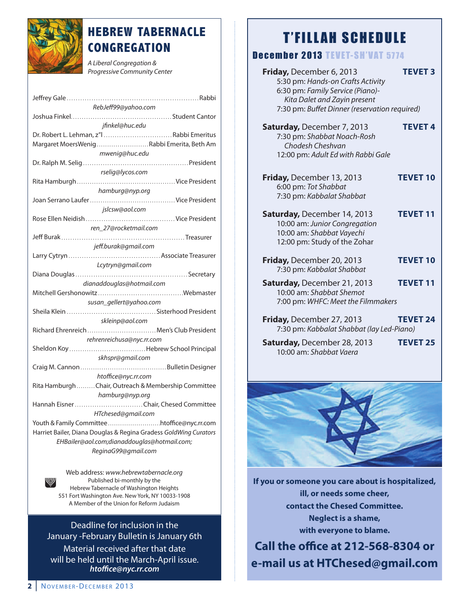

## **HEBREW TABERNACLE CONGREGATION**

A Liberal Congregation & Progressive Community Center

| RebJeff99@yahoo.com                                              |
|------------------------------------------------------------------|
|                                                                  |
| jfinkel@huc.edu                                                  |
| Dr. Robert L. Lehman, z"   Rabbi Emeritus                        |
| Margaret MoersWenigRabbi Emerita, Beth Am                        |
| mwenig@huc.edu                                                   |
|                                                                  |
| rselig@lycos.com                                                 |
|                                                                  |
| hamburg@nyp.org                                                  |
|                                                                  |
| jslcsw@aol.com                                                   |
|                                                                  |
| ren_27@rocketmail.com                                            |
|                                                                  |
| jeff.burak@gmail.com                                             |
|                                                                  |
| Lcytryn@gmail.com                                                |
|                                                                  |
| dianaddouglas@hotmail.com                                        |
|                                                                  |
| susan_gellert@yahoo.com                                          |
|                                                                  |
| skleinp@aol.com                                                  |
| Richard Ehrenreich  Men's Club President                         |
| rehrenreichusa@nyc.rr.com                                        |
| Sheldon KoyHebrew School Principal                               |
| skhspr@gmail.com                                                 |
|                                                                  |
| htoffice@nyc.rr.com                                              |
| Rita Hamburgh Chair, Outreach & Membership Committee             |
| hamburg@nyp.org                                                  |
| Hannah Eisner Chair, Chesed Committee                            |
| HTchesed@gmail.com                                               |
| Youth & Family Committeehtoffice@nyc.rr.com                      |
| Harriet Bailer, Diana Douglas & Regina Gradess GoldWing Curators |
| EHBailer@aol.com;dianaddouglas@hotmail.com;                      |
| ReginaG99@gmail.com                                              |
|                                                                  |

Web address: www.hebrewtabernacle.org Published bi-monthly by the Hebrew Tabernacle of Washington Heights 551 Fort Washington Ave. New York, NY 10033-1908 A Member of the Union for Reform Judaism

Deadline for inclusion in the January -February Bulletin is January 6th Material received after that date will be held until the March-April issue. *htoce@nyc.rr.com*

## **T'FILLAH SCHEDULE**

#### December 2013 TEVET-SH'VAT 5774

| Friday, December 6, 2013<br>5:30 pm: Hands-on Crafts Activity<br>6:30 pm: Family Service (Piano)-<br>Kita Dalet and Zayin present<br>7:30 pm: Buffet Dinner (reservation required) | <b>TEVET 3</b>  |
|------------------------------------------------------------------------------------------------------------------------------------------------------------------------------------|-----------------|
| <b>Saturday, December 7, 2013</b><br>7:30 pm: Shabbat Noach-Rosh<br>Chodesh Cheshvan<br>12:00 pm: Adult Ed with Rabbi Gale                                                         | <b>TEVET 4</b>  |
| Friday, December 13, 2013<br>6:00 pm: Tot Shabbat<br>7:30 pm: Kabbalat Shabbat                                                                                                     | <b>TEVET 10</b> |
| <b>Saturday, December 14, 2013</b><br>10:00 am: Junior Congregation<br>10:00 am: Shabbat Vayechi<br>12:00 pm: Study of the Zohar                                                   | <b>TEVET 11</b> |
| Friday, December 20, 2013<br>7:30 pm: Kabbalat Shabbat                                                                                                                             | <b>TEVET 10</b> |
| Saturday, December 21, 2013<br>10:00 am: Shabbat Shemot<br>7:00 pm: WHFC: Meet the Filmmakers                                                                                      | <b>TEVET 11</b> |
| Friday, December 27, 2013<br>7:30 pm: Kabbalat Shabbat (lay Led-Piano)                                                                                                             | <b>TEVET 24</b> |
| Saturday, December 28, 2013<br>10:00 am: Shabbat Vaera                                                                                                                             | <b>TEVET 25</b> |



**If you or someone you care about is hospitalized, ill, or needs some cheer, contact the Chesed Committee. Neglect is a shame, with everyone to blame.**

**Call the office at 212-568-8304 or e-mail us at HTChesed@gmail.com**

W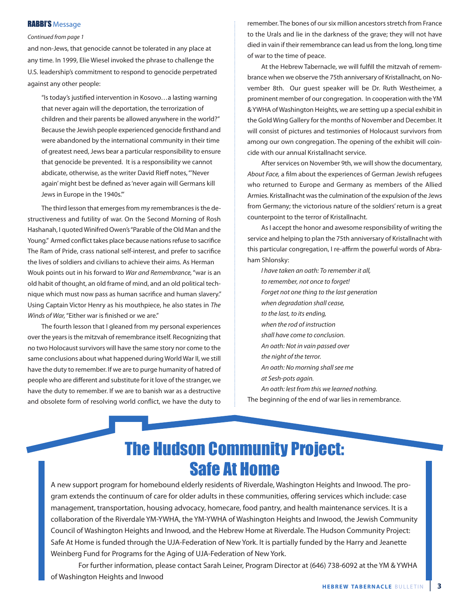#### RABBI'S Message

#### Continued from page 1

and non-Jews, that genocide cannot be tolerated in any place at any time. In 1999, Elie Wiesel invoked the phrase to challenge the U.S. leadership's commitment to respond to genocide perpetrated against any other people:

"Is today's justified intervention in Kosovo...a lasting warning that never again will the deportation, the terrorization of children and their parents be allowed anywhere in the world?" Because the Jewish people experienced genocide firsthand and were abandoned by the international community in their time of greatest need, Jews bear a particular responsibility to ensure that genocide be prevented. It is a responsibility we cannot abdicate, otherwise, as the writer David Rieff notes, "'Never again' might best be defined as 'never again will Germans kill Jews in Europe in the 1940s.'"

The third lesson that emerges from my remembrances is the destructiveness and futility of war. On the Second Morning of Rosh Hashanah, I quoted Winifred Owen's"Parable of the Old Man and the Young." Armed conflict takes place because nations refuse to sacrifice The Ram of Pride, crass national self-interest, and prefer to sacrifice the lives of soldiers and civilians to achieve their aims. As Herman Wouk points out in his forward to War and Remembrance, "war is an old habit of thought, an old frame of mind, and an old political technique which must now pass as human sacrifice and human slavery." Using Captain Victor Henry as his mouthpiece, he also states in The Winds of War, "Either war is finished or we are."

The fourth lesson that I gleaned from my personal experiences over the years is the mitzvah of remembrance itself. Recognizing that no two Holocaust survivors will have the same story nor come to the same conclusions about what happened during World War II, we still have the duty to remember. If we are to purge humanity of hatred of people who are different and substitute for it love of the stranger, we have the duty to remember. If we are to banish war as a destructive and obsolete form of resolving world conflict, we have the duty to

remember. The bones of our six million ancestors stretch from France to the Urals and lie in the darkness of the grave; they will not have died in vain if their remembrance can lead us from the long, long time of war to the time of peace.

At the Hebrew Tabernacle, we will fulfill the mitzvah of remembrance when we observe the 75th anniversary of Kristallnacht, on November 8th. Our guest speaker will be Dr. Ruth Westheimer, a prominent member of our congregation. In cooperation with the YM & YWHA of Washington Heights, we are setting up a special exhibit in the Gold Wing Gallery for the months of November and December. It will consist of pictures and testimonies of Holocaust survivors from among our own congregation. The opening of the exhibit will coincide with our annual Kristallnacht service.

After services on November 9th, we will show the documentary, About Face, a film about the experiences of German Jewish refugees who returned to Europe and Germany as members of the Allied Armies. Kristallnacht was the culmination of the expulsion of the Jews from Germany; the victorious nature of the soldiers' return is a great counterpoint to the terror of Kristallnacht.

As I accept the honor and awesome responsibility of writing the service and helping to plan the 75th anniversary of Kristallnacht with this particular congregation, I re-affirm the powerful words of Abraham Shlonsky:

I have taken an oath: To remember it all, to remember, not once to forget! Forget not one thing to the last generation when degradation shall cease, to the last, to its ending, when the rod of instruction shall have come to conclusion. An oath: Not in vain passed over the night of the terror. An oath: No morning shall see me at Sesh-pots again. An oath: lest from this we learned nothing.

The beginning of the end of war lies in remembrance.

## The Hudson Community Project: Safe At Home

A new support program for homebound elderly residents of Riverdale, Washington Heights and Inwood. The program extends the continuum of care for older adults in these communities, offering services which include: case management, transportation, housing advocacy, homecare, food pantry, and health maintenance services. It is a collaboration of the Riverdale YM-YWHA, the YM-YWHA of Washington Heights and Inwood, the Jewish Community Council of Washington Heights and Inwood, and the Hebrew Home at Riverdale. The Hudson Community Project: Safe At Home is funded through the UJA-Federation of New York. It is partially funded by the Harry and Jeanette Weinberg Fund for Programs for the Aging of UJA-Federation of New York.

For further information, please contact Sarah Leiner, Program Director at (646) 738-6092 at the YM & YWHA of Washington Heights and Inwood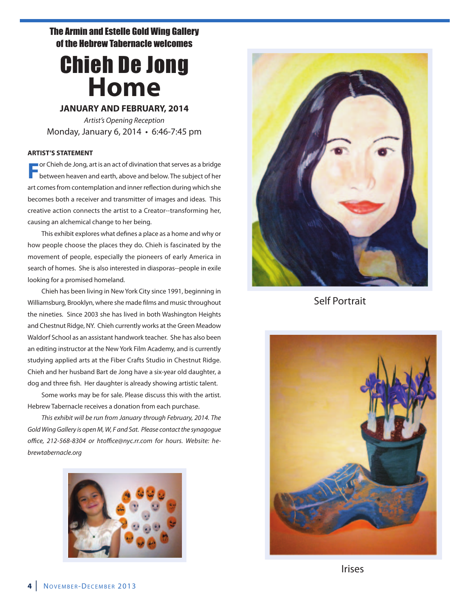#### The Armin and Estelle Gold Wing Gallery of the Hebrew Tabernacle welcomes

## Chieh De Jong **Home**

#### **JANUARY AND FEBRUARY, 2014**

Artist's Opening Reception Monday, January 6, 2014 • 6:46-7:45 pm

#### **ARTIST'S STATEMENT**

**F**or Chieh de Jong, art is an act of divination that serves as a bridge between heaven and earth, above and below. The subject of her art comes from contemplation and inner reflection during which she becomes both a receiver and transmitter of images and ideas. This creative action connects the artist to a Creator--transforming her, causing an alchemical change to her being.

This exhibit explores what defines a place as a home and why or how people choose the places they do. Chieh is fascinated by the movement of people, especially the pioneers of early America in search of homes. She is also interested in diasporas--people in exile looking for a promised homeland.

Chieh has been living in New York City since 1991, beginning in Williamsburg, Brooklyn, where she made films and music throughout the nineties. Since 2003 she has lived in both Washington Heights and Chestnut Ridge, NY. Chieh currently works at the Green Meadow Waldorf School as an assistant handwork teacher. She has also been an editing instructor at the New York Film Academy, and is currently studying applied arts at the Fiber Crafts Studio in Chestnut Ridge. Chieh and her husband Bart de Jong have a six-year old daughter, a dog and three fish. Her daughter is already showing artistic talent.

Some works may be for sale. Please discuss this with the artist. Hebrew Tabernacle receives a donation from each purchase.

This exhibit will be run from January through February, 2014. The Gold Wing Gallery is open M, W, F and Sat. Please contact the synagogue office, 212-568-8304 or htoffice@nyc.rr.com for hours. Website: hebrewtabernacle.org





Self Portrait



Irises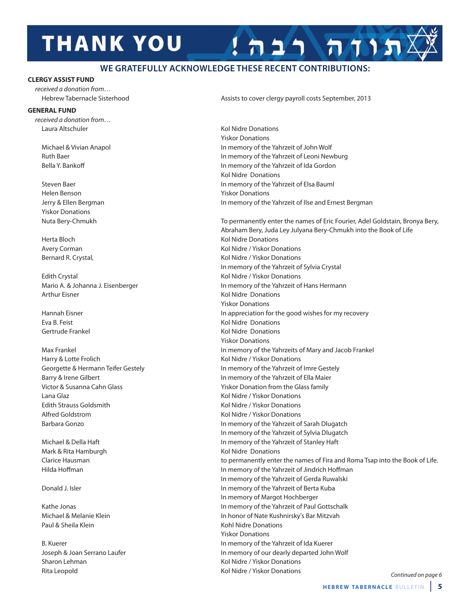# **THANK YOU**

#### **WE GRATEFULLY ACKNOWLEDGE THESE RECENT CONTRIBUTIONS:**

#### **CLERGY ASSIST FUND**

received a donation from…

#### **GENERAL FUND**

received a donation from… Laura Altschuler Kol Nidre Donations

Helen Benson **Yiskor Donations** Yiskor Donations

Edith Crystal **Edition** Crystal Crystal Crystal Crystal Crystal Crystal Crystal Crystal Crystal Crystal Crystal Crystal Crystal Crystal Crystal Crystal Crystal Crystal Crystal Crystal Crystal Crystal Crystal Crystal Crysta Arthur Eisner Kolley and The Matter Controller Kolley Kolley Kolley Midre Donations

Harry & Lotte Frolich **Kol Nidre / Yiskor Donations** Kol Nidre / Yiskor Donations Lana Glaz Kol Nidre / Yiskor Donations Edith Strauss Goldsmith Kol Nidre / Yiskor Donations Alfred Goldstrom **Kol Nidre / Yiskor Donations** 

Mark & Rita Hamburgh **Kol Nidre Donations** Kol Nidre Donations

Paul & Sheila Klein Kohl Nidre Donations

Sharon Lehman **Kol Nidre / Yiskor Donations** Kol Nidre / Yiskor Donations Rita Leopold Kol Nidre / Yiskor Donations

Hebrew Tabernacle Sisterhood **Assists to cover clergy payroll costs September**, 2013

תודה רבה

Yiskor Donations Michael & Vivian Anapol In memory of the Yahrzeit of John Wolf Ruth Baer **In memory of the Yahrzeit of Leoni Newburg** In memory of the Yahrzeit of Leoni Newburg Bella Y. Bankoff **Example 20 In memory of the Yahrzeit of Ida Gordon** Kol Nidre Donations Steven Baer **In memory of the Yahrzeit of Elsa Bauml** In memory of the Yahrzeit of Elsa Bauml Jerry & Ellen Bergman In memory of the Yahrzeit of Ilse and Ernest Bergman

Nuta Bery-Chmukh To permanently enter the names of Eric Fourier, Adel Goldstain, Bronya Bery, Abraham Bery, Juda Ley Julyana Bery-Chmukh into the Book of Life Herta Bloch Kol Nidre Donations Avery Corman **Avery Corman Communist Communist Communist Communist Communist Communist Communist Communist Communist Communist Communist Communist Communist Communist Communist Communist Communist Communist Communist Commu** Bernard R. Crystal, The Communication of the Midre / Yiskor Donations In memory of the Yahrzeit of Sylvia Crystal Mario A. & Johanna J. Eisenberger In memory of the Yahrzeit of Hans Hermann Yiskor Donations Hannah Eisner **In appreciation for the good wishes for my recovery In appreciation for the good wishes for my recovery** Eva B. Feist Kol Nidre Donations Gertrude Frankel **Kollandia Expeditions** Kol Nidre Donations Yiskor Donations Max Frankel **In memory of the Yahrzeits of Mary and Jacob Frankel** In memory of the Yahrzeits of Mary and Jacob Frankel Georgette & Hermann Teifer Gestely **In memory of the Yahrzeit of Imre Gestely** Barry & Irene Gilbert **In memory of the Yahrzeit of Ella Maier** In memory of the Yahrzeit of Ella Maier Victor & Susanna Cahn Glass **Yiskor Donation from the Glass family** Yiskor Donation from the Glass family Barbara Gonzo **In memory of the Yahrzeit of Sarah Dlugatch** In memory of the Yahrzeit of Sarah Dlugatch In memory of the Yahrzeit of Sylvia Dlugatch Michael & Della Haft In memory of the Yahrzeit of Stanley Haft Clarice Hausman to permanently enter the names of Fira and Roma Tsap into the Book of Life. Hilda Hoffman **In memory of the Yahrzeit of Jindrich Hoffman** In memory of the Yahrzeit of Gerda Ruwalski Donald J. Isler In memory of the Yahrzeit of Berta Kuba In memory of Margot Hochberger Kathe Jonas **In memory of the Yahrzeit of Paul Gottschalk** Michael & Melanie Klein In honor of Nate Kushnirsky's Bar Mitzvah Yiskor Donations B. Kuerer **In memory of the Yahrzeit of Ida Kuerer** In memory of the Yahrzeit of Ida Kuerer Joseph & Joan Serrano Laufer In memory of our dearly departed John Wolf

Continued on page 6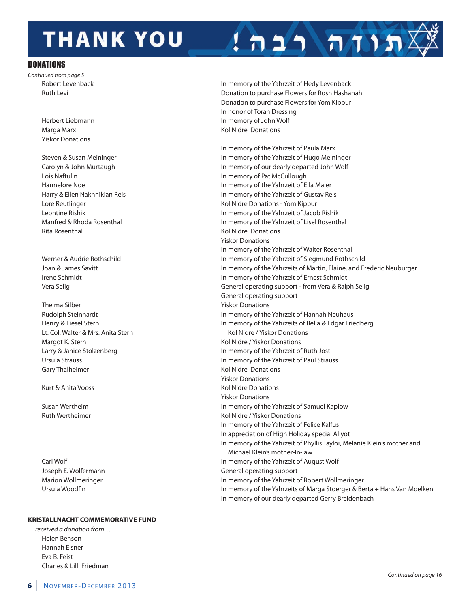# **THANK YOU**

#### **DONATIONS**

Continued from page 5

Yiskor Donations

Lois Naftulin **In memory of Pat McCullough** In memory of Pat McCullough Rita Rosenthal **Kollah Kol Nidre Donations Kol Nidre Donations** 

Thelma Silber **Thelma Silber Yiskor Donations** Lt. Col. Walter & Mrs. Anita Stern Kol Nidre / Yiskor Donations Margot K. Stern Kol Nidre / Yiskor Donations Gary Thalheimer **Kollah Exception Constructs** Kol Nidre Donations

#### **KRISTALLNACHT COMMEMORATIVE FUND**

received a donation from… Helen Benson Hannah Eisner Eva B. Feist Charles & Lilli Friedman

Robert Levenback **In memory of the Yahrzeit of Hedy Levenback** In memory of the Yahrzeit of Hedy Levenback Ruth Levi Donation to purchase Flowers for Rosh Hashanah Donation to purchase Flowers for Yom Kippur In honor of Torah Dressing Herbert Liebmann In memory of John Wolf Marga Marx **Marga Marx Marga Marx Marga Marx Marga Marx Marga Marx Marga Marx Marga Marx Marga Marx Marga Marx Marga Marx Marga Marx Marga Marx Marga Marx Marga Marx Marga Marx Marga Marx Ma** 

תוח רבה

In memory of the Yahrzeit of Paula Marx Steven & Susan Meininger **In memory of the Yahrzeit of Hugo Meininger** In memory of the Yahrzeit of Hugo Meininger Carolyn & John Murtaugh In memory of our dearly departed John Wolf Hannelore Noe In memory of the Yahrzeit of Ella Maier Harry & Ellen Nakhnikian Reis In memory of the Yahrzeit of Gustav Reis Lore Reutlinger The Communications - Yom Kippur Kol Nidre Donations - Yom Kippur Leontine Rishik In memory of the Yahrzeit of Jacob Rishik Manfred & Rhoda Rosenthal **In memory of the Yahrzeit of Lisel Rosenthal** Yiskor Donations In memory of the Yahrzeit of Walter Rosenthal Werner & Audrie Rothschild **In memory of the Yahrzeit of Siegmund Rothschild** Verner & Audrie Rothschild Joan & James Savitt In memory of the Yahrzeits of Martin, Elaine, and Frederic Neuburger Irene Schmidt In memory of the Yahrzeit of Ernest Schmidt Vera Selig General operating support - from Vera & Ralph Selig General operating support Rudolph Steinhardt In memory of the Yahrzeit of Hannah Neuhaus Henry & Liesel Stern In memory of the Yahrzeits of Bella & Edgar Friedberg Larry & Janice Stolzenberg **In memory of the Yahrzeit of Ruth Jost** In memory of the Yahrzeit of Ruth Jost Ursula Strauss In memory of the Yahrzeit of Paul Strauss Yiskor Donations Kurt & Anita Vooss **Kollandia III van die Staats** Kol Nidre Donations Yiskor Donations Susan Wertheim In memory of the Yahrzeit of Samuel Kaplow Ruth Wertheimer **Kol Nidre / Yiskor Donations** Kol Nidre / Yiskor Donations In memory of the Yahrzeit of Felice Kalfus In appreciation of High Holiday special Aliyot In memory of the Yahrzeit of Phyllis Taylor, Melanie Klein's mother and Michael Klein's mother-In-law Carl Wolf In memory of the Yahrzeit of August Wolf Joseph E. Wolfermann General operating support Marion Wollmeringer The Table 10 memory of the Yahrzeit of Robert Wollmeringer Ursula Woodfin **In memory of the Yahrzeits of Marga Stoerger & Berta + Hans Van Moelken** In memory of our dearly departed Gerry Breidenbach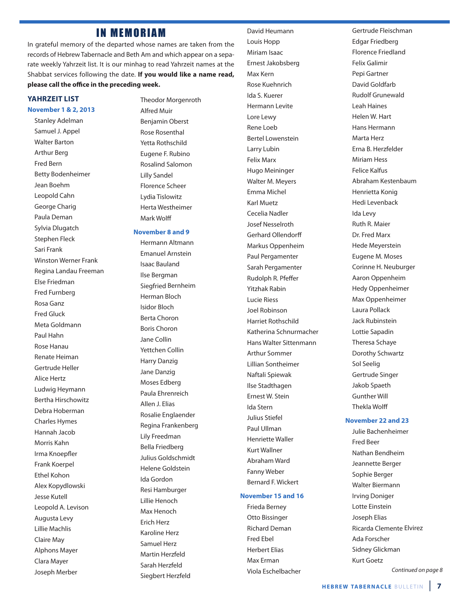#### **IN MEMORIAM**

In grateful memory of the departed whose names are taken from the records of Hebrew Tabernacle and Beth Am and which appear on a separate weekly Yahrzeit list. It is our minhag to read Yahrzeit names at the Shabbat services following the date. **If you would like a name read,** please call the office in the preceding week.

#### **YAHRZEIT LIST**

#### **November 1 & 2, 2013**

Stanley Adelman Samuel J. Appel Walter Barton Arthur Berg Fred Bern Betty Bodenheimer Jean Boehm Leopold Cahn George Charig Paula Deman Sylvia Dlugatch Stephen Fleck Sari Frank Winston Werner Frank Regina Landau Freeman Else Friedman Fred Furnberg Rosa Ganz Fred Gluck Meta Goldmann Paul Hahn Rose Hanau Renate Heiman Gertrude Heller Alice Hertz Ludwig Heymann Bertha Hirschowitz Debra Hoberman Charles Hymes Hannah Jacob Morris Kahn Irma Knoepfler Frank Koerpel Ethel Kohon Alex Kopydlowski Jesse Kutell Leopold A. Levison Augusta Levy Lillie Machlis Claire May Alphons Mayer Clara Mayer Joseph Merber

Theodor Morgenroth Alfred Muir Benjamin Oberst Rose Rosenthal Yetta Rothschild Eugene F. Rubino Rosalind Salomon Lilly Sandel Florence Scheer Lydia Tislowitz Herta Westheimer Mark Wolff

#### **November 8 and 9**

Hermann Altmann Emanuel Arnstein Isaac Bauland Ilse Bergman Siegfried Bernheim Herman Bloch Isidor Bloch Berta Choron Boris Choron Jane Collin Yettchen Collin Harry Danzig Jane Danzig Moses Edberg Paula Ehrenreich Allen J. Elias Rosalie Englaender Regina Frankenberg Lily Freedman Bella Friedberg Julius Goldschmidt Helene Goldstein Ida Gordon Resi Hamburger Lillie Henoch Max Henoch Erich Herz Karoline Herz Samuel Herz Martin Herzfeld Sarah Herzfeld Siegbert Herzfeld

David Heumann Louis Hopp Miriam Isaac Ernest Jakobsberg Max Kern Rose Kuehnrich Ida S. Kuerer Hermann Levite Lore Lewy Rene Loeb Bertel Lowenstein Larry Lubin Felix Marx Hugo Meininger Walter M. Meyers Emma Michel Karl Muetz Cecelia Nadler Josef Nesselroth Gerhard Ollendorff Markus Oppenheim Paul Pergamenter Sarah Pergamenter Rudolph R. Pfeffer Yitzhak Rabin Lucie Riess Joel Robinson Harriet Rothschild Katherina Schnurmacher Hans Walter Sittenmann Arthur Sommer Lillian Sontheimer Naftali Spiewak Ilse Stadthagen Ernest W. Stein Ida Stern Julius Stiefel Paul Ullman Henriette Waller Kurt Wallner Abraham Ward Fanny Weber Bernard F. Wickert

#### **November 15 and 16**

Frieda Berney Otto Bissinger Richard Deman Fred Ebel Herbert Elias Max Erman Viola Eschelbacher Gertrude Fleischman Edgar Friedberg Florence Friedland Felix Galimir Pepi Gartner David Goldfarb Rudolf Grunewald Leah Haines Helen W. Hart Hans Hermann Marta Herz Erna B. Herzfelder Miriam Hess Felice Kalfus Abraham Kestenbaum Henrietta Konig Hedi Levenback Ida Levy Ruth R. Maier Dr. Fred Marx Hede Meyerstein Eugene M. Moses Corinne H. Neuburger Aaron Oppenheim Hedy Oppenheimer Max Oppenheimer Laura Pollack Jack Rubinstein Lottie Sapadin Theresa Schaye Dorothy Schwartz Sol Seelig Gertrude Singer Jakob Spaeth Gunther Will **Thekla Wolff** 

#### **November 22 and 23**

Julie Bachenheimer Fred Beer Nathan Bendheim Jeannette Berger Sophie Berger Walter Biermann Irving Doniger Lotte Einstein Joseph Elias Ricarda Clemente Elvirez Ada Forscher Sidney Glickman Kurt Goetz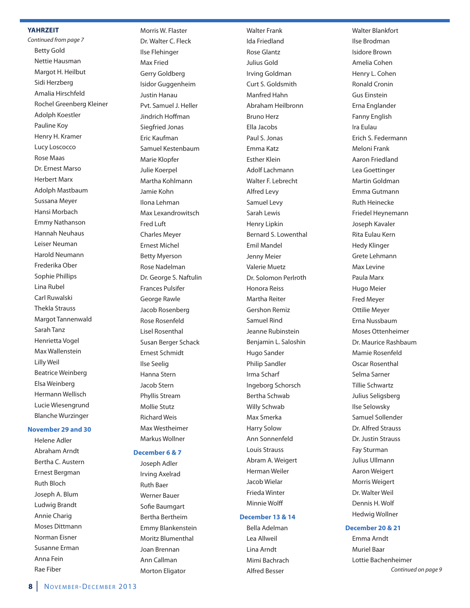#### **YAHRZEIT**

Continued from page 7 Betty Gold Nettie Hausman Margot H. Heilbut Sidi Herzberg Amalia Hirschfeld Rochel Greenberg Kleiner Adolph Koestler Pauline Koy Henry H. Kramer Lucy Loscocco Rose Maas Dr. Ernest Marso Herbert Marx Adolph Mastbaum Sussana Meyer Hansi Morbach Emmy Nathanson Hannah Neuhaus Leiser Neuman Harold Neumann Frederika Ober Sophie Phillips Lina Rubel Carl Ruwalski Thekla Strauss Margot Tannenwald Sarah Tanz Henrietta Vogel Max Wallenstein Lilly Weil Beatrice Weinberg Elsa Weinberg Hermann Wellisch Lucie Wiesengrund Blanche Wurzinger

#### **November 29 and 30**

Helene Adler Abraham Arndt Bertha C. Austern Ernest Bergman Ruth Bloch Joseph A. Blum Ludwig Brandt Annie Charig Moses Dittmann Norman Eisner Susanne Erman Anna Fein Rae Fiber

Morris W. Flaster Dr. Walter C. Fleck Ilse Flehinger Max Fried Gerry Goldberg Isidor Guggenheim Justin Hanau Pvt. Samuel J. Heller Jindrich Hoffman Siegfried Jonas Eric Kaufman Samuel Kestenbaum Marie Klopfer Julie Koerpel Martha Kohlmann Jamie Kohn Ilona Lehman Max Lexandrowitsch Fred Luft Charles Meyer Ernest Michel Betty Myerson Rose Nadelman Dr. George S. Naftulin Frances Pulsifer George Rawle Jacob Rosenberg Rose Rosenfeld Lisel Rosenthal Susan Berger Schack Ernest Schmidt Ilse Seelig Hanna Stern Jacob Stern Phyllis Stream Mollie Stutz Richard Weis Max Westheimer Markus Wollner

#### **December 6 & 7**

Joseph Adler Irving Axelrad Ruth Baer Werner Bauer Sofie Baumgart Bertha Bertheim Emmy Blankenstein Moritz Blumenthal Joan Brennan Ann Callman Morton Eligator

Walter Frank Ida Friedland Rose Glantz Julius Gold Irving Goldman Curt S. Goldsmith Manfred Hahn Abraham Heilbronn Bruno Herz Ella Jacobs Paul S. Jonas Emma Katz Esther Klein Adolf Lachmann Walter F. Lebrecht Alfred Levy Samuel Levy Sarah Lewis Henry Lipkin Bernard S. Lowenthal Emil Mandel Jenny Meier Valerie Muetz Dr. Solomon Perlroth Honora Reiss Martha Reiter Gershon Remiz Samuel Rind Jeanne Rubinstein Benjamin L. Saloshin Hugo Sander Philip Sandler Irma Scharf Ingeborg Schorsch Bertha Schwab Willy Schwab Max Smerka Harry Solow Ann Sonnenfeld Louis Strauss Abram A. Weigert Herman Weiler Jacob Wielar Frieda Winter Minnie Wolff

#### **December 13 & 14**

Bella Adelman Lea Allweil Lina Arndt Mimi Bachrach Alfred Besser

Walter Blankfort Ilse Brodman Isidore Brown Amelia Cohen Henry L. Cohen Ronald Cronin Gus Einstein Erna Englander Fanny English Ira Eulau Erich S. Federmann Meloni Frank Aaron Friedland Lea Goettinger Martin Goldman Emma Gutmann Ruth Heinecke Friedel Heynemann Joseph Kavaler Rita Eulau Kern Hedy Klinger Grete Lehmann Max Levine Paula Marx Hugo Meier Fred Meyer Ottilie Meyer Erna Nussbaum Moses Ottenheimer Dr. Maurice Rashbaum Mamie Rosenfeld Oscar Rosenthal Selma Sarner Tillie Schwartz Julius Seligsberg Ilse Selowsky Samuel Sollender Dr. Alfred Strauss Dr. Justin Strauss Fay Sturman Julius Ullmann Aaron Weigert Morris Weigert Dr. Walter Weil Dennis H. Wolf Hedwig Wollner

#### **December 20 & 21**

Emma Arndt Muriel Baar Lottie Bachenheimer Continued on page 9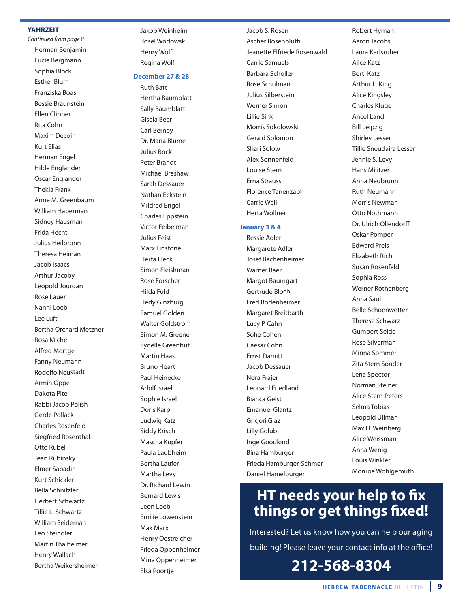#### **YAHRZEIT**

Continued from page 8 Herman Benjamin Lucie Bergmann Sophia Block Esther Blum Franziska Boas Bessie Braunstein Ellen Clipper Rita Cohn Maxim Decoin Kurt Elias Herman Engel Hilde Englander Oscar Englander Thekla Frank Anne M. Greenbaum William Haberman Sidney Hausman Frida Hecht Julius Heilbronn Theresa Heiman Jacob Isaacs Arthur Jacoby Leopold Jourdan Rose Lauer Nanni Loeb Lee Luft Bertha Orchard Metzner Rosa Michel Alfred Mortge Fanny Neumann Rodolfo Neustadt Armin Oppe Dakota Pite Rabbi Jacob Polish Gerde Pollack Charles Rosenfeld Siegfried Rosenthal Otto Rubel Jean Rubinsky Elmer Sapadin Kurt Schickler Bella Schnitzler Herbert Schwartz Tillie L. Schwartz William Seideman Leo Steindler Martin Thalheimer Henry Wallach Bertha Weikersheimer

Jakob Weinheim Rosel Wodowski Henry Wolf Regina Wolf

#### **December 27 & 28**

Ruth Batt Hertha Baumblatt Sally Baumblatt Gisela Beer Carl Berney Dr. Maria Blume Julius Bock Peter Brandt Michael Breshaw Sarah Dessauer Nathan Eckstein Mildred Engel Charles Eppstein Victor Feibelman Julius Feist Marx Finstone Herta Fleck Simon Fleishman Rose Forscher Hilda Fuld Hedy Ginzburg Samuel Golden Walter Goldstrom Simon M. Greene Sydelle Greenhut Martin Haas Bruno Heart Paul Heinecke Adolf Israel Sophie Israel Doris Karp Ludwig Katz Siddy Krisch Mascha Kupfer Paula Laubheim Bertha Laufer Martha Levy Dr. Richard Lewin Bernard Lewis Leon Loeb Emilie Lowenstein Max Marx Henry Oestreicher Frieda Oppenheimer Mina Oppenheimer Elsa Poortje

Jacob S. Rosen Ascher Rosenbluth Jeanette Elfriede Rosenwald Carrie Samuels Barbara Scholler Rose Schulman Julius Silberstein Werner Simon Lillie Sink Morris Sokolowski Gerald Solomon Shari Solow Alex Sonnenfeld Louise Stern Erna Strauss Florence Tanenzaph Carrie Weil Herta Wollner

#### **January 3 & 4**

Bessie Adler Margarete Adler Josef Bachenheimer Warner Baer Margot Baumgart Gertrude Bloch Fred Bodenheimer Margaret Breitbarth Lucy P. Cahn Sofie Cohen Caesar Cohn Ernst Damitt Jacob Dessauer Nora Frajer Leonard Friedland Bianca Geist Emanuel Glantz Grigori Glaz Lilly Golub Inge Goodkind Bina Hamburger Frieda Hamburger-Schmer Daniel Hamelburger

Robert Hyman Aaron Jacobs Laura Karlsruher Alice Katz Berti Katz Arthur L. King Alice Kingsley Charles Kluge Ancel Land Bill Leipzig Shirley Lesser Tillie Sneudaira Lesser Jennie S. Levy Hans Militzer Anna Neubrunn Ruth Neumann Morris Newman Otto Nothmann Dr. Ulrich Ollendorff Oskar Pomper Edward Preis Elizabeth Rich Susan Rosenfeld Sophia Ross Werner Rothenberg Anna Saul Belle Schoenwetter Therese Schwarz Gumpert Seide Rose Silverman Minna Sommer Zita Stern Sonder Lena Spector Norman Steiner Alice Stern-Peters Selma Tobias Leopold Ullman Max H. Weinberg Alice Weissman Anna Wenig Louis Winkler Monroe Wohlgemuth

## **HT needs your help to fix things or get things Exed!**

Interested? Let us know how you can help our aging building! Please leave your contact info at the office!

**212-568-8304**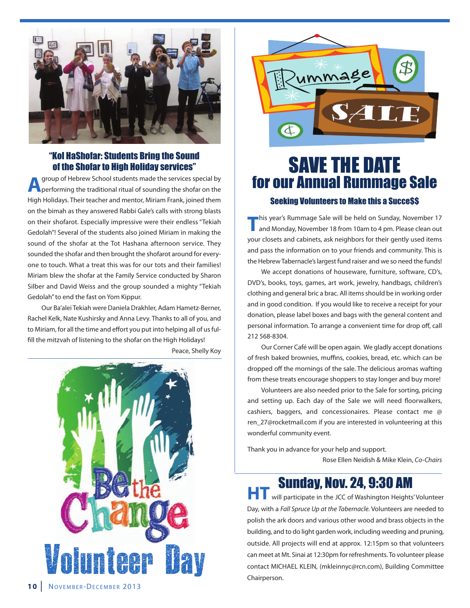

#### "Kol HaShofar: Students Bring the Sound of the Shofar to High Holiday services"

**A** group of Hebrew School students made the services special by<br>**A** performing the traditional ritual of sounding the shofar on the High Holidays. Their teacher and mentor, Miriam Frank, joined them on the bimah as they answered Rabbi Gale's calls with strong blasts on their shofarot. Especially impressive were their endless "Tekiah Gedolah"! Several of the students also joined Miriam in making the sound of the shofar at the Tot Hashana afternoon service. They sounded the shofar and then brought the shofarot around for everyone to touch. What a treat this was for our tots and their families! Miriam blew the shofar at the Family Service conducted by Sharon Silber and David Weiss and the group sounded a mighty "Tekiah Gedolah" to end the fast on Yom Kippur.

Our Ba'alei Tekiah were Daniela Drakhler, Adam Hametz-Berner, Rachel Kelk, Nate Kushirsky and Anna Levy. Thanks to all of you, and to Miriam, for all the time and effort you put into helping all of us fulfill the mitzvah of listening to the shofar on the High Holidays!

Peace, Shelly Koy





## SAVE THE DATE for our Annual Rummage Sale Seeking Volunteers to Make this a Succe\$\$

**T**his year's Rummage Sale will be held on Sunday, November 17<br>and Monday, November 18 from 10am to 4 pm. Please clean out your closets and cabinets, ask neighbors for their gently used items and pass the information on to your friends and community. This is the Hebrew Tabernacle's largest fund raiser and we so need the funds!

We accept donations of houseware, furniture, software, CD's, DVD's, books, toys, games, art work, jewelry, handbags, children's clothing and general bric a brac. All items should be in working order and in good condition. If you would like to receive a receipt for your donation, please label boxes and bags with the general content and personal information. To arrange a convenient time for drop off, call 212 568-8304.

Our Corner Café will be open again. We gladly accept donations of fresh baked brownies, muffins, cookies, bread, etc. which can be dropped off the mornings of the sale. The delicious aromas wafting from these treats encourage shoppers to stay longer and buy more!

Volunteers are also needed prior to the Sale for sorting, pricing and setting up. Each day of the Sale we will need floorwalkers, cashiers, baggers, and concessionaires. Please contact me @ ren\_27@rocketmail.com if you are interested in volunteering at this wonderful community event.

Thank you in advance for your help and support.

Rose Ellen Neidish & Mike Klein, Co-Chairs

# **Sunday, Nov. 24, 9:30 AM**<br>**HT** will participate in the JCC of Washington Heights' Volunteer

Day, with a Fall Spruce Up at the Tabernacle. Volunteers are needed to polish the ark doors and various other wood and brass objects in the building, and to do light garden work, including weeding and pruning, outside. All projects will end at approx. 12:15pm so that volunteers can meet at Mt. Sinai at 12:30pm for refreshments. To volunteer please Contact Mt. Sinai at 12:30pm for refreshments. To volunteer please<br>Contact MICHAEL KLEIN, (mkleinnyc@rcn.com), Building Committee<br>Chairperson.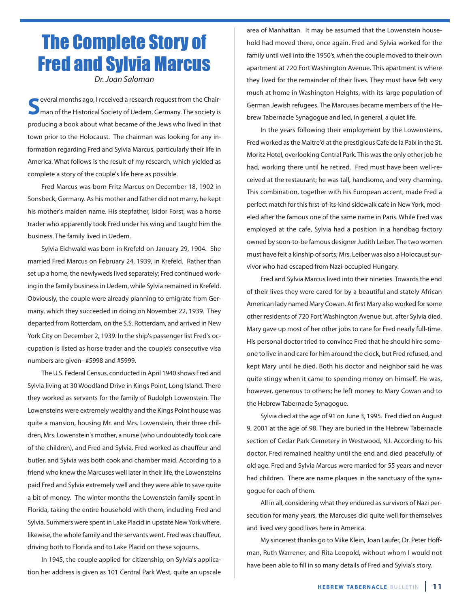## The Complete Story of Fred and Sylvia Marcus

Dr. Joan Saloman

**S**everal months ago, I received a research request from the Chair-<br>man of the Historical Society of Uedem, Germany. The society is producing a book about what became of the Jews who lived in that town prior to the Holocaust. The chairman was looking for any information regarding Fred and Sylvia Marcus, particularly their life in America. What follows is the result of my research, which yielded as complete a story of the couple's life here as possible.

Fred Marcus was born Fritz Marcus on December 18, 1902 in Sonsbeck, Germany. As his mother and father did not marry, he kept his mother's maiden name. His stepfather, Isidor Forst, was a horse trader who apparently took Fred under his wing and taught him the business. The family lived in Uedem.

Sylvia Eichwald was born in Krefeld on January 29, 1904. She married Fred Marcus on February 24, 1939, in Krefeld. Rather than set up a home, the newlyweds lived separately; Fred continued working in the family business in Uedem, while Sylvia remained in Krefeld. Obviously, the couple were already planning to emigrate from Germany, which they succeeded in doing on November 22, 1939. They departed from Rotterdam, on the S.S. Rotterdam, and arrived in New York City on December 2, 1939. In the ship's passenger list Fred's occupation is listed as horse trader and the couple's consecutive visa numbers are given--#5998 and #5999.

The U.S. Federal Census, conducted in April 1940 shows Fred and Sylvia living at 30 Woodland Drive in Kings Point, Long Island. There they worked as servants for the family of Rudolph Lowenstein. The Lowensteins were extremely wealthy and the Kings Point house was quite a mansion, housing Mr. and Mrs. Lowenstein, their three children, Mrs. Lowenstein's mother, a nurse (who undoubtedly took care of the children), and Fred and Sylvia. Fred worked as chauffeur and butler, and Sylvia was both cook and chamber maid. According to a friend who knew the Marcuses well later in their life, the Lowensteins paid Fred and Sylvia extremely well and they were able to save quite a bit of money. The winter months the Lowenstein family spent in Florida, taking the entire household with them, including Fred and Sylvia. Summers were spent in Lake Placid in upstate New York where, likewise, the whole family and the servants went. Fred was chauffeur, driving both to Florida and to Lake Placid on these sojourns.

In 1945, the couple applied for citizenship; on Sylvia's application her address is given as 101 Central Park West, quite an upscale area of Manhattan. It may be assumed that the Lowenstein household had moved there, once again. Fred and Sylvia worked for the family until well into the 1950's, when the couple moved to their own apartment at 720 Fort Washington Avenue. This apartment is where they lived for the remainder of their lives. They must have felt very much at home in Washington Heights, with its large population of German Jewish refugees. The Marcuses became members of the Hebrew Tabernacle Synagogue and led, in general, a quiet life.

In the years following their employment by the Lowensteins, Fred worked as the Maitre'd at the prestigious Cafe de la Paix in the St. Moritz Hotel, overlooking Central Park. This was the only other job he had, working there until he retired. Fred must have been well-received at the restaurant; he was tall, handsome, and very charming. This combination, together with his European accent, made Fred a perfect match for this first-of-its-kind sidewalk cafe in New York, modeled after the famous one of the same name in Paris. While Fred was employed at the cafe, Sylvia had a position in a handbag factory owned by soon-to-be famous designer Judith Leiber. The two women must have felt a kinship of sorts; Mrs. Leiber was also a Holocaust survivor who had escaped from Nazi-occupied Hungary.

Fred and Sylvia Marcus lived into their nineties. Towards the end of their lives they were cared for by a beautiful and stately African American lady named Mary Cowan. At first Mary also worked for some other residents of 720 Fort Washington Avenue but, after Sylvia died, Mary gave up most of her other jobs to care for Fred nearly full-time. His personal doctor tried to convince Fred that he should hire someone to live in and care for him around the clock, but Fred refused, and kept Mary until he died. Both his doctor and neighbor said he was quite stingy when it came to spending money on himself. He was, however, generous to others; he left money to Mary Cowan and to the Hebrew Tabernacle Synagogue.

Sylvia died at the age of 91 on June 3, 1995. Fred died on August 9, 2001 at the age of 98. They are buried in the Hebrew Tabernacle section of Cedar Park Cemetery in Westwood, NJ. According to his doctor, Fred remained healthy until the end and died peacefully of old age. Fred and Sylvia Marcus were married for 55 years and never had children. There are name plaques in the sanctuary of the synagogue for each of them.

All in all, considering what they endured as survivors of Nazi persecution for many years, the Marcuses did quite well for themselves and lived very good lives here in America.

My sincerest thanks go to Mike Klein, Joan Laufer, Dr. Peter Hoffman, Ruth Warrener, and Rita Leopold, without whom I would not have been able to fill in so many details of Fred and Sylvia's story.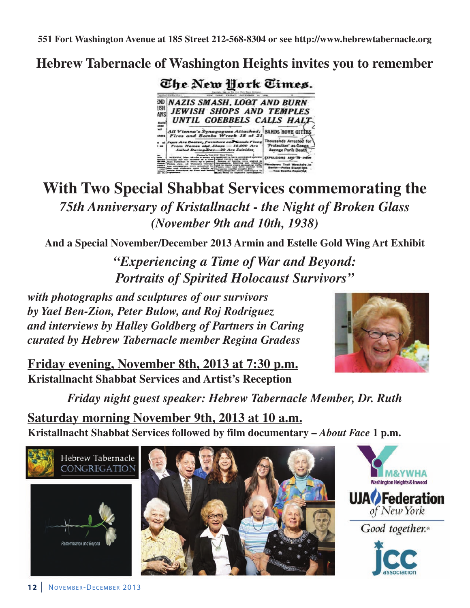**551 Fort Washington Avenue at 185 Street 212-568-8304 or see http://www.hebrewtabernacle.org**

## **Hebrew Tabernacle of Washington Heights invites you to remember**



## **With Two Special Shabbat Services commemorating the** *75th Anniversary of Kristallnacht - the Night of Broken Glass (November 9th and 10th, 1938)*

**And a Special November/December 2013 Armin and Estelle Gold Wing Art Exhibit**

*"Experiencing a Time of War and Beyond: Portraits of Spirited Holocaust Survivors"*

*with photographs and sculptures of our survivors by Yael Ben-Zion, Peter Bulow, and Roj Rodriguez and interviews by Halley Goldberg of Partners in Caring curated by Hebrew Tabernacle member Regina Gradess*

**Friday evening, November 8th, 2013 at 7:30 p.m. Kristallnacht Shabbat Services and Artist's Reception**



*Friday night guest speaker: Hebrew Tabernacle Member, Dr. Ruth*

**Saturday morning November 9th, 2013 at 10 a.m. Kristallnacht Shabbat Services followed by film documentary –** *About Face* **1 p.m.**







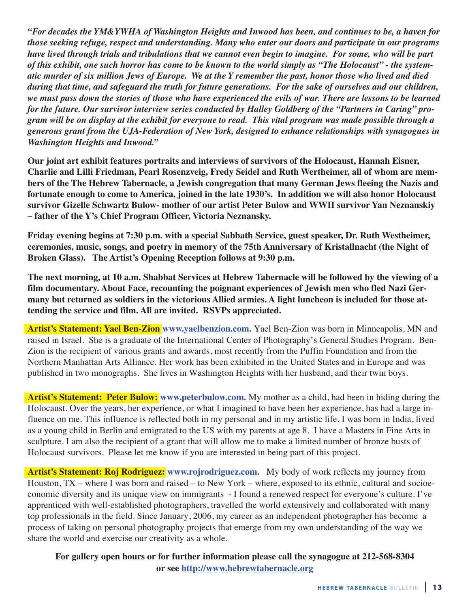*"For decades the YM&YWHA of Washington Heights and Inwood has been, and continues to be, a haven for those seeking refuge, respect and understanding. Many who enter our doors and participate in our programs have lived through trials and tribulations that we cannot even begin to imagine. For some, who will be part of this exhibit, one such horror has come to be known to the world simply as "The Holocaust" - the systematic murder of six million Jews of Europe. We at the Y remember the past, honor those who lived and died during that time, and safeguard the truth for future generations. For the sake of ourselves and our children, we must pass down the stories of those who have experienced the evils of war. There are lessons to be learned for the future. Our survivor interview series conducted by Halley Goldberg of the "Partners in Caring" program will be on display at the exhibit for everyone to read. This vital program was made possible through a generous grant from the UJA-Federation of New York, designed to enhance relationships with synagogues in Washington Heights and Inwood."*

**Our joint art exhibit features portraits and interviews of survivors of the Holocaust, Hannah Eisner, Charlie and Lilli Friedman, Pearl Rosenzveig, Fredy Seidel and Ruth Wertheimer, all of whom are members of the The Hebrew Tabernacle, a Jewish congregation that many German Jews fleeing the Nazis and fortunate enough to come to America, joined in the late 1930's. In addition we will also honor Holocaust survivor Gizelle Schwartz Bulow- mother of our artist Peter Bulow and WWII survivor Yan Neznanskiy – father of the Y's Chief Program Officer, Victoria Neznansky.**

**Friday evening begins at 7:30 p.m. with a special Sabbath Service, guest speaker, Dr. Ruth Westheimer, ceremonies, music, songs, and poetry in memory of the 75th Anniversary of Kristallnacht (the Night of Broken Glass). The Artist's Opening Reception follows at 9:30 p.m.**

**The next morning, at 10 a.m. Shabbat Services at Hebrew Tabernacle will be followed by the viewing of a film documentary. About Face, recounting the poignant experiences of Jewish men who fled Nazi Germany but returned as soldiers in the victorious Allied armies. A light luncheon is included for those attending the service and film. All are invited. RSVPs appreciated.**

**Artist's Statement: Yael Ben-Zion www.yaelbenzion.com.** Yael Ben-Zion was born in Minneapolis, MN and raised in Israel. She is a graduate of the International Center of Photography's General Studies Program. Ben-Zion is the recipient of various grants and awards, most recently from the Puffin Foundation and from the Northern Manhattan Arts Alliance. Her work has been exhibited in the United States and in Europe and was published in two monographs. She lives in Washington Heights with her husband, and their twin boys.

**Artist's Statement: Peter Bulow: www.peterbulow.com.** My mother as a child, had been in hiding during the Holocaust. Over the years, her experience, or what I imagined to have been her experience, has had a large influence on me. This influence is reflected both in my personal and in my artistic life. I was born in India, lived as a young child in Berlin and emigrated to the US with my parents at age 8. I have a Masters in Fine Arts in sculpture. I am also the recipient of a grant that will allow me to make a limited number of bronze busts of Holocaust survivors. Please let me know if you are interested in being part of this project.

**Artist's Statement: Roj Rodriguez: www.rojrodriguez.com.** My body of work reflects my journey from Houston, TX – where I was born and raised – to New York – where, exposed to its ethnic, cultural and socioeconomic diversity and its unique view on immigrants - I found a renewed respect for everyone's culture. I've apprenticed with well-established photographers, travelled the world extensively and collaborated with many top professionals in the field. Since January, 2006, my career as an independent photographer has become a process of taking on personal photography projects that emerge from my own understanding of the way we share the world and exercise our creativity as a whole.

**For gallery open hours or for further information please call the synagogue at 212-568-8304 or see http://www.hebrewtabernacle.org**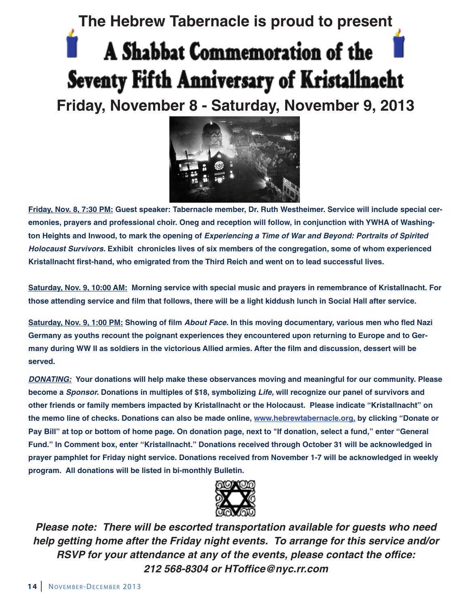# **The Hebrew Tabernacle is proud to present** A Shabbat Commemoration of the Seventy Fifth Anniversary of Kristallnacht **Friday, November 8 - Saturday, November 9, 2013**



**Friday, Nov. 8, 7:30 PM: Guest speaker: Tabernacle member, Dr. Ruth Westheimer. Service will include special ceremonies, prayers and professional choir. Oneg and reception will follow, in conjunction with YWHA of Washington Heights and Inwood, to mark the opening of** *Experiencing a Time of War and Beyond: Portraits of Spirited Holocaust Survivors.* **Exhibit chronicles lives of six members of the congregation, some of whom experienced Kristallnacht first-hand, who emigrated from the Third Reich and went on to lead successful lives.**

**Saturday, Nov. 9, 10:00 AM: Morning service with special music and prayers in remembrance of Kristallnacht. For those attending service and film that follows, there will be a light kiddush lunch in Social Hall after service.**

**Saturday, Nov. 9, 1:00 PM: Showing of film** *About Face.* **In this moving documentary, various men who fled Nazi Germany as youths recount the poignant experiences they encountered upon returning to Europe and to Germany during WW II as soldiers in the victorious Allied armies. After the film and discussion, dessert will be served.**

*DONATING:* **Your donations will help make these observances moving and meaningful for our community. Please become a** *Sponsor.* **Donations in multiples of \$18, symbolizing** *Life,* **will recognize our panel of survivors and other friends or family members impacted by Kristallnacht or the Holocaust. Please indicate "Kristallnacht" on the memo line of checks. Donations can also be made online, www.hebrewtabernacle.org, by clicking "Donate or Pay Bill" at top or bottom of home page. On donation page, next to "If donation, select a fund," enter "General Fund." In Comment box, enter "Kristallnacht." Donations received through October 31 will be acknowledged in prayer pamphlet for Friday night service. Donations received from November 1-7 will be acknowledged in weekly program. All donations will be listed in bi-monthly Bulletin.**



*Please note: There will be escorted transportation available for guests who need help getting home after the Friday night events. To arrange for this service and/or RSVP for your attendance at any of the events, please contact the office: 212 568-8304 or HToffice@nyc.rr.com*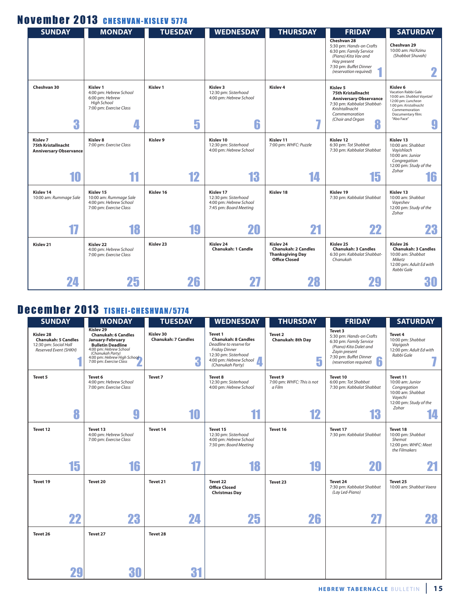### November 2013 CHESHVAN-KISLEV 5774

| <b>SUNDAY</b>                                                              | <b>MONDAY</b>                                                                                                     | <b>TUESDAY</b>           | <b>WEDNESDAY</b>                                                                      | <b>THURSDAY</b>                                                                                       | <b>FRIDAY</b>                                                                                                                                                 | <b>SATURDAY</b>                                                                                                                                                        |
|----------------------------------------------------------------------------|-------------------------------------------------------------------------------------------------------------------|--------------------------|---------------------------------------------------------------------------------------|-------------------------------------------------------------------------------------------------------|---------------------------------------------------------------------------------------------------------------------------------------------------------------|------------------------------------------------------------------------------------------------------------------------------------------------------------------------|
|                                                                            |                                                                                                                   |                          |                                                                                       |                                                                                                       | Cheshvan 28<br>5:30 pm: Hands-on Crafts<br>6:30 pm: Family Service<br>(Piano) Kita Vav and<br>Hay present<br>7:30 pm: Buffet Dinner<br>(reservation required) | Cheshvan 29<br>10:00 am: Ha'Azinu<br>(Shabbat Shuvah)                                                                                                                  |
| Cheshvan 30<br>3                                                           | Kislev <sub>1</sub><br>4:00 pm: Hebrew School<br>6:00 pm: Hebrew<br><b>High School</b><br>7:00 pm: Exercise Class | Kislev <sub>1</sub><br>5 | Kislev 3<br>12:30 pm: Sisterhood<br>4:00 pm: Hebrew School<br>6                       | Kislev <sub>4</sub><br>H.                                                                             | Kislev 5<br>75th Kristallnacht<br><b>Anniversary Observance</b><br>7:30 pm: Kabbalat Shabbat-<br>Krishtallnacht<br>Commemoration<br>(Choir and Organ<br>8     | Kislev 6<br>Vacation Rabbi Gale<br>10:00 am: Shabbat Vayetzel<br>12:00 pm: Luncheon<br>1:00 pm: Kristallnacht<br>Commemoration<br>Documentary film:<br>"Abo Face"<br>Y |
| Kislev <sub>7</sub><br>75th Kristallnacht<br><b>Anniversary Observance</b> | Kislev 8<br>7:00 pm: Exercise Class                                                                               | Kislev <sub>9</sub>      | Kislev 10<br>12:30 pm: Sisterhood<br>4:00 pm: Hebrew School                           | Kislev 11<br>7:00 pm: WHFC: Puzzle                                                                    | Kislev 12<br>6:30 pm: Tot Shabbat<br>7:30 pm: Kabbalat Shabbat                                                                                                | Kislev 13<br>10:00 am: Shabbat<br>Vayishlach<br>10:00 am: Junior<br>Congregation<br>12:00 pm: Study of the<br>Zohar                                                    |
| 10                                                                         | 11                                                                                                                | 12                       | 13                                                                                    | 14                                                                                                    | 15                                                                                                                                                            | 16                                                                                                                                                                     |
| Kislev 14<br>10:00 am: Rummage Sale                                        | Kislev 15<br>10:00 am: Rummage Sale<br>4:00 pm: Hebrew School<br>7:00 pm: Exercise Class                          | Kislev 16                | Kislev 17<br>12:30 pm: Sisterhood<br>4:00 pm: Hebrew School<br>7:45 pm: Board Meeting | Kislev 18                                                                                             | Kislev 19<br>7:30 pm: Kabbalat Shabbat                                                                                                                        | Kislev 13<br>10:00 am: Shabbat<br>Vayeshev<br>12:00 pm: Study of the<br>Zohar                                                                                          |
| 17                                                                         | 18                                                                                                                | 19                       | 20                                                                                    | 21                                                                                                    | 22                                                                                                                                                            | 23                                                                                                                                                                     |
| Kislev 21                                                                  | Kislev <sub>22</sub><br>4:00 pm: Hebrew School<br>7:00 pm: Exercise Class                                         | Kislev <sub>23</sub>     | Kislev 24<br>Chanukah: 1 Candle                                                       | Kislev <sub>24</sub><br><b>Chanukah: 2 Candles</b><br><b>Thanksgiving Day</b><br><b>Office Closed</b> | Kisley 25<br><b>Chanukah: 3 Candles</b><br>6:30 pm: Kabbalat Shabbat-<br>Chanukah                                                                             | Kislev <sub>26</sub><br><b>Chanukah: 3 Candles</b><br>10:00 am: Shabbat<br>Miketz<br>12:00 pm: Adult Ed with<br>Rabbi Gale                                             |
| 24                                                                         | 25                                                                                                                | 26                       |                                                                                       | 28                                                                                                    | 낓.                                                                                                                                                            | 30                                                                                                                                                                     |

## December 2013 TISHEI-CHESHVAN/5774

| <b>SUNDAY</b>                                                                             | <b>MONDAY</b>                                                                                                                                                                                   | <b>TUESDAY</b>                               | <b>WEDNESDAY</b>                                                                                                                                               | <b>THURSDAY</b>                                       | <b>FRIDAY</b>                                                                                                                                                      | <b>SATURDAY</b>                                                                                                       |
|-------------------------------------------------------------------------------------------|-------------------------------------------------------------------------------------------------------------------------------------------------------------------------------------------------|----------------------------------------------|----------------------------------------------------------------------------------------------------------------------------------------------------------------|-------------------------------------------------------|--------------------------------------------------------------------------------------------------------------------------------------------------------------------|-----------------------------------------------------------------------------------------------------------------------|
| Kislev 28<br><b>Chanukah: 5 Candles</b><br>12:30 pm: Social Hall<br>Reserved Event (SHKH) | Kislev 29<br><b>Chanukah: 6 Candles</b><br>January-February<br><b>Bulletin Deadline</b><br>4:00 pm: Hebrew School<br>(Chanukah Party)<br>4:00 pm: Hebrew High School<br>7:00 pm: Exercise Class | Kislev 30<br><b>Chanukah: 7 Candles</b><br>3 | Tevet 1<br><b>Chanukah: 8 Candles</b><br>Deadline to reserve for<br><b>Friday Dinner</b><br>12:30 pm: Sisterhood<br>4:00 pm: Hebrew School<br>(Chanukah Party) | Tevet 2<br>Chanukah: 8th Day<br>5                     | Tevet 3<br>5:30 pm: Hands-on Crafts<br>6:30 pm: Family Service<br>(Piano) Kita Dalet and<br>Zayin present<br>7:30 pm: Buffet Dinner<br>ĥ<br>(reservation required) | Tevet 4<br>10:00 pm: Shabbat<br>Vayigash<br>12:00 pm: Adult Ed with<br>Rabbi Gale                                     |
| Tevet 5<br>8                                                                              | Tevet 6<br>4:00 pm: Hebrew School<br>7:00 pm: Exercise Class<br>9                                                                                                                               | Tevet 7<br>10                                | Tevet 8<br>12:30 pm: Sisterhood<br>4:00 pm: Hebrew School<br>11                                                                                                | Tevet 9<br>7:00 pm: WHFC: This is not<br>a Film<br>12 | Tevet 10<br>6:00 pm: Tot Shabbat<br>7:30 pm: Kabbalat Shabbat<br>13                                                                                                | Tevet 11<br>10:00 am: Junior<br>Congregation<br>10:00 am: Shabbat<br>Vayechi<br>12:00 pm: Study of the<br>Zohar<br>14 |
|                                                                                           |                                                                                                                                                                                                 |                                              |                                                                                                                                                                |                                                       |                                                                                                                                                                    |                                                                                                                       |
| Tevet 12                                                                                  | Tevet 13<br>4:00 pm: Hebrew School<br>7:00 pm: Exercise Class                                                                                                                                   | Tevet 14                                     | Tevet 15<br>12:30 pm: Sisterhood<br>4:00 pm: Hebrew School<br>7:30 pm: Board Meeting                                                                           | Tevet 16                                              | Tevet 17<br>7:30 pm: Kabbalat Shabbat                                                                                                                              | Tevet 18<br>10:00 pm: Shabbat<br>Shemot<br>12:00 pm: WHFC: Meet<br>the Filmakers                                      |
| 15                                                                                        | 16                                                                                                                                                                                              | 17                                           | 18                                                                                                                                                             | 19                                                    | 20                                                                                                                                                                 |                                                                                                                       |
| Tevet 19                                                                                  | Tevet 20                                                                                                                                                                                        | Tevet 21                                     | Tevet 22<br><b>Office Closed</b><br><b>Christmas Day</b>                                                                                                       | Tevet 23                                              | Tevet 24<br>7:30 pm: Kabbalat Shabbat<br>(Lay Led-Piano)                                                                                                           | Tevet 25<br>10:00 am: Shabbat Vaera                                                                                   |
| 22                                                                                        | 23                                                                                                                                                                                              | 24                                           | 25                                                                                                                                                             | 26                                                    | 27                                                                                                                                                                 | 28                                                                                                                    |
| Tevet 26                                                                                  | Tevet 27                                                                                                                                                                                        | Tevet 28                                     |                                                                                                                                                                |                                                       |                                                                                                                                                                    |                                                                                                                       |
| 29                                                                                        | 30                                                                                                                                                                                              | 31                                           |                                                                                                                                                                |                                                       |                                                                                                                                                                    |                                                                                                                       |